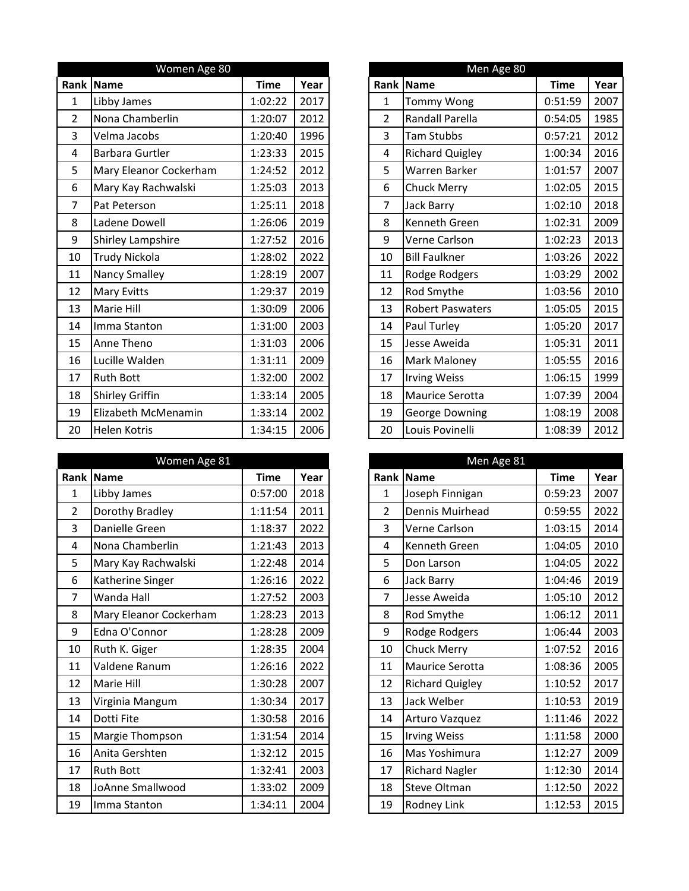|                | Women Age 80           |             |      |
|----------------|------------------------|-------------|------|
|                | Rank Name              | <b>Time</b> | Year |
| 1              | Libby James            | 1:02:22     | 2017 |
| $\overline{2}$ | Nona Chamberlin        | 1:20:07     | 2012 |
| 3              | Velma Jacobs           | 1:20:40     | 1996 |
| 4              | Barbara Gurtler        | 1:23:33     | 2015 |
| 5              | Mary Eleanor Cockerham | 1:24:52     | 2012 |
| 6              | Mary Kay Rachwalski    | 1:25:03     | 2013 |
| 7              | Pat Peterson           | 1:25:11     | 2018 |
| 8              | Ladene Dowell          | 1:26:06     | 2019 |
| 9              | Shirley Lampshire      | 1:27:52     | 2016 |
| 10             | Trudy Nickola          | 1:28:02     | 2022 |
| 11             | Nancy Smalley          | 1:28:19     | 2007 |
| 12             | <b>Mary Evitts</b>     | 1:29:37     | 2019 |
| 13             | Marie Hill             | 1:30:09     | 2006 |
| 14             | Imma Stanton           | 1:31:00     | 2003 |
| 15             | Anne Theno             | 1:31:03     | 2006 |
| 16             | Lucille Walden         | 1:31:11     | 2009 |
| 17             | <b>Ruth Bott</b>       | 1:32:00     | 2002 |
| 18             | <b>Shirley Griffin</b> | 1:33:14     | 2005 |
| 19             | Elizabeth McMenamin    | 1:33:14     | 2002 |
| 20             | Helen Kotris           | 1:34:15     | 2006 |

|                | Women Age 81           |             |      |
|----------------|------------------------|-------------|------|
| Rank           | <b>Name</b>            | <b>Time</b> | Year |
| 1              | Libby James            | 0:57:00     | 2018 |
| $\overline{2}$ | Dorothy Bradley        | 1:11:54     | 2011 |
| 3              | Danielle Green         | 1:18:37     | 2022 |
| 4              | Nona Chamberlin        | 1:21:43     | 2013 |
| 5              | Mary Kay Rachwalski    | 1:22:48     | 2014 |
| 6              | Katherine Singer       | 1:26:16     | 2022 |
| 7              | Wanda Hall             | 1:27:52     | 2003 |
| 8              | Mary Eleanor Cockerham | 1:28:23     | 2013 |
| 9              | Edna O'Connor          | 1:28:28     | 2009 |
| 10             | Ruth K. Giger          | 1:28:35     | 2004 |
| 11             | Valdene Ranum          | 1:26:16     | 2022 |
| 12             | Marie Hill             | 1:30:28     | 2007 |
| 13             | Virginia Mangum        | 1:30:34     | 2017 |
| 14             | Dotti Fite             | 1:30:58     | 2016 |
| 15             | Margie Thompson        | 1:31:54     | 2014 |
| 16             | Anita Gershten         | 1:32:12     | 2015 |
| 17             | <b>Ruth Bott</b>       | 1:32:41     | 2003 |
| 18             | JoAnne Smallwood       | 1:33:02     | 2009 |
| 19             | Imma Stanton           | 1:34:11     | 2004 |
|                |                        |             |      |

|                | Men Age 80              |             |      |
|----------------|-------------------------|-------------|------|
| Rank           | <b>Name</b>             | <b>Time</b> | Year |
| $\mathbf{1}$   | <b>Tommy Wong</b>       | 0:51:59     | 2007 |
| $\overline{2}$ | Randall Parella         | 0:54:05     | 1985 |
| 3              | <b>Tam Stubbs</b>       | 0:57:21     | 2012 |
| 4              | <b>Richard Quigley</b>  | 1:00:34     | 2016 |
| 5              | Warren Barker           | 1:01:57     | 2007 |
| 6              | <b>Chuck Merry</b>      | 1:02:05     | 2015 |
| 7              | Jack Barry              | 1:02:10     | 2018 |
| 8              | <b>Kenneth Green</b>    | 1:02:31     | 2009 |
| 9              | Verne Carlson           | 1:02:23     | 2013 |
| 10             | <b>Bill Faulkner</b>    | 1:03:26     | 2022 |
| 11             | Rodge Rodgers           | 1:03:29     | 2002 |
| 12             | Rod Smythe              | 1:03:56     | 2010 |
| 13             | <b>Robert Paswaters</b> | 1:05:05     | 2015 |
| 14             | Paul Turley             | 1:05:20     | 2017 |
| 15             | Jesse Aweida            | 1:05:31     | 2011 |
| 16             | Mark Maloney            | 1:05:55     | 2016 |
| 17             | <b>Irving Weiss</b>     | 1:06:15     | 1999 |
| 18             | Maurice Serotta         | 1:07:39     | 2004 |
| 19             | <b>George Downing</b>   | 1:08:19     | 2008 |
| 20             | Louis Povinelli         | 1:08:39     | 2012 |

|                | Men Age 81             |             |      |
|----------------|------------------------|-------------|------|
| Rank           | <b>Name</b>            | <b>Time</b> | Year |
| $\mathbf{1}$   | Joseph Finnigan        | 0:59:23     | 2007 |
| $\overline{2}$ | Dennis Muirhead        | 0:59:55     | 2022 |
| 3              | Verne Carlson          | 1:03:15     | 2014 |
| 4              | Kenneth Green          | 1:04:05     | 2010 |
| 5              | Don Larson             | 1:04:05     | 2022 |
| 6              | Jack Barry             | 1:04:46     | 2019 |
| $\overline{7}$ | Jesse Aweida           | 1:05:10     | 2012 |
| 8              | Rod Smythe             | 1:06:12     | 2011 |
| 9              | Rodge Rodgers          | 1:06:44     | 2003 |
| 10             | <b>Chuck Merry</b>     | 1:07:52     | 2016 |
| 11             | Maurice Serotta        | 1:08:36     | 2005 |
| 12             | <b>Richard Quigley</b> | 1:10:52     | 2017 |
| 13             | Jack Welber            | 1:10:53     | 2019 |
| 14             | Arturo Vazquez         | 1:11:46     | 2022 |
| 15             | <b>Irving Weiss</b>    | 1:11:58     | 2000 |
| 16             | Mas Yoshimura          | 1:12:27     | 2009 |
| 17             | <b>Richard Nagler</b>  | 1:12:30     | 2014 |
| 18             | <b>Steve Oltman</b>    | 1:12:50     | 2022 |
| 19             | Rodney Link            | 1:12:53     | 2015 |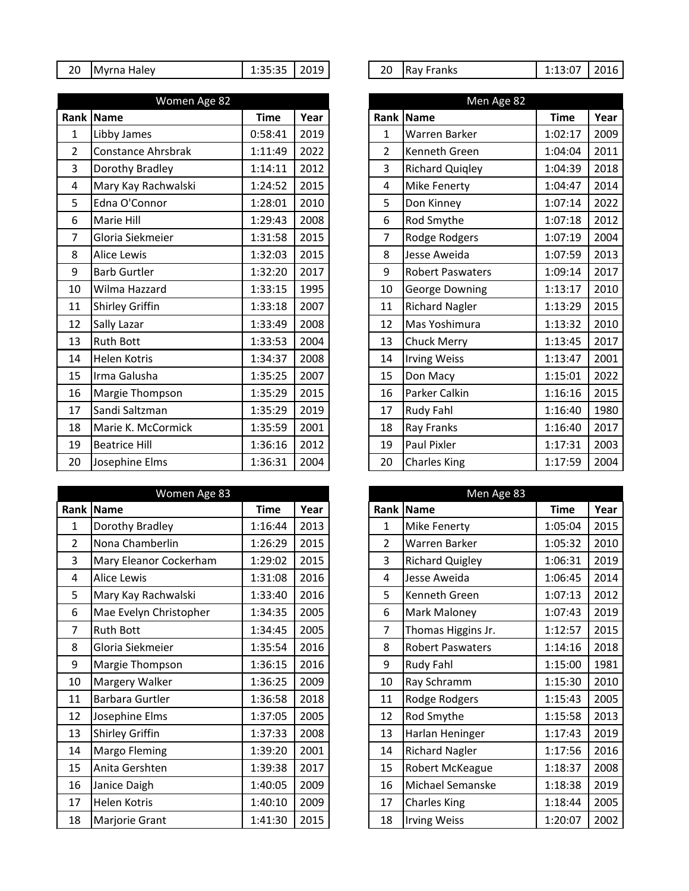| 20<br>2019<br>20<br>-- --<br>In.<br>-ranks<br>TMvrna<br>. Halev<br>ikav<br>1.JJ.JJ<br>__ | 2016<br>$\sim$ $\sim$ |
|------------------------------------------------------------------------------------------|-----------------------|
|------------------------------------------------------------------------------------------|-----------------------|

|                | Women Age 82           |             |      |  |                | Men Age 82              |             |      |  |
|----------------|------------------------|-------------|------|--|----------------|-------------------------|-------------|------|--|
|                | Rank Name              | <b>Time</b> | Year |  | Rank           | <b>Name</b>             | <b>Time</b> | Year |  |
| $\mathbf{1}$   | Libby James            | 0:58:41     | 2019 |  | $\mathbf{1}$   | Warren Barker           | 1:02:17     | 2009 |  |
| $\overline{2}$ | Constance Ahrsbrak     | 1:11:49     | 2022 |  | $\overline{2}$ | Kenneth Green           | 1:04:04     | 2011 |  |
| 3              | Dorothy Bradley        | 1:14:11     | 2012 |  | 3              | <b>Richard Quigley</b>  | 1:04:39     | 2018 |  |
| 4              | Mary Kay Rachwalski    | 1:24:52     | 2015 |  | 4              | Mike Fenerty            | 1:04:47     | 2014 |  |
| 5              | Edna O'Connor          | 1:28:01     | 2010 |  | 5              | Don Kinney              | 1:07:14     | 2022 |  |
| 6              | Marie Hill             | 1:29:43     | 2008 |  | 6              | Rod Smythe              | 1:07:18     | 2012 |  |
| $\overline{7}$ | Gloria Siekmeier       | 1:31:58     | 2015 |  | $\overline{7}$ | Rodge Rodgers           | 1:07:19     | 2004 |  |
| 8              | <b>Alice Lewis</b>     | 1:32:03     | 2015 |  | 8              | Jesse Aweida            | 1:07:59     | 2013 |  |
| 9              | <b>Barb Gurtler</b>    | 1:32:20     | 2017 |  | 9              | <b>Robert Paswaters</b> | 1:09:14     | 2017 |  |
| 10             | Wilma Hazzard          | 1:33:15     | 1995 |  | 10             | George Downing          | 1:13:17     | 2010 |  |
| 11             | <b>Shirley Griffin</b> | 1:33:18     | 2007 |  | 11             | <b>Richard Nagler</b>   | 1:13:29     | 2015 |  |
| 12             | Sally Lazar            | 1:33:49     | 2008 |  | 12             | Mas Yoshimura           | 1:13:32     | 2010 |  |
| 13             | <b>Ruth Bott</b>       | 1:33:53     | 2004 |  | 13             | <b>Chuck Merry</b>      | 1:13:45     | 2017 |  |
| 14             | Helen Kotris           | 1:34:37     | 2008 |  | 14             | <b>Irving Weiss</b>     | 1:13:47     | 2001 |  |
| 15             | Irma Galusha           | 1:35:25     | 2007 |  | 15             | Don Macy                | 1:15:01     | 2022 |  |
| 16             | Margie Thompson        | 1:35:29     | 2015 |  | 16             | Parker Calkin           | 1:16:16     | 2015 |  |
| 17             | Sandi Saltzman         | 1:35:29     | 2019 |  | 17             | Rudy Fahl               | 1:16:40     | 1980 |  |
| 18             | Marie K. McCormick     | 1:35:59     | 2001 |  | 18             | Ray Franks              | 1:16:40     | 2017 |  |
| 19             | <b>Beatrice Hill</b>   | 1:36:16     | 2012 |  | 19             | Paul Pixler             | 1:17:31     | 2003 |  |
| 20             | Josephine Elms         | 1:36:31     | 2004 |  | 20             | <b>Charles King</b>     | 1:17:59     | 2004 |  |

|                | Women Age 83           |             |      |
|----------------|------------------------|-------------|------|
|                | Rank Name              | <b>Time</b> | Year |
| $\mathbf 1$    | Dorothy Bradley        | 1:16:44     | 2013 |
| $\overline{2}$ | Nona Chamberlin        | 1:26:29     | 2015 |
| 3              | Mary Eleanor Cockerham | 1:29:02     | 2015 |
| 4              | <b>Alice Lewis</b>     | 1:31:08     | 2016 |
| 5              | Mary Kay Rachwalski    | 1:33:40     | 2016 |
| 6              | Mae Evelyn Christopher | 1:34:35     | 2005 |
| 7              | <b>Ruth Bott</b>       | 1:34:45     | 2005 |
| 8              | Gloria Siekmeier       | 1:35:54     | 2016 |
| 9              | Margie Thompson        | 1:36:15     | 2016 |
| 10             | Margery Walker         | 1:36:25     | 2009 |
| 11             | <b>Barbara Gurtler</b> | 1:36:58     | 2018 |
| 12             | Josephine Elms         | 1:37:05     | 2005 |
| 13             | Shirley Griffin        | 1:37:33     | 2008 |
| 14             | Margo Fleming          | 1:39:20     | 2001 |
| 15             | Anita Gershten         | 1:39:38     | 2017 |
| 16             | Janice Daigh           | 1:40:05     | 2009 |
| 17             | Helen Kotris           | 1:40:10     | 2009 |
| 18             | Marjorie Grant         | 1:41:30     | 2015 |

|  | 20 Ray Franks | $1:13:07$   2016 |  |
|--|---------------|------------------|--|
|--|---------------|------------------|--|

|                | Men Age 82              |             |      |
|----------------|-------------------------|-------------|------|
| Rank           | <b>Name</b>             | <b>Time</b> | Year |
| 1              | Warren Barker           | 1:02:17     | 2009 |
| $\overline{2}$ | Kenneth Green           | 1:04:04     | 2011 |
| 3              | <b>Richard Quigley</b>  | 1:04:39     | 2018 |
| 4              | Mike Fenerty            | 1:04:47     | 2014 |
| 5              | Don Kinney              | 1:07:14     | 2022 |
| 6              | Rod Smythe              | 1:07:18     | 2012 |
| 7              | Rodge Rodgers           | 1:07:19     | 2004 |
| 8              | Jesse Aweida            | 1:07:59     | 2013 |
| 9              | <b>Robert Paswaters</b> | 1:09:14     | 2017 |
| 10             | <b>George Downing</b>   | 1:13:17     | 2010 |
| 11             | <b>Richard Nagler</b>   | 1:13:29     | 2015 |
| 12             | Mas Yoshimura           | 1:13:32     | 2010 |
| 13             | <b>Chuck Merry</b>      | 1:13:45     | 2017 |
| 14             | <b>Irving Weiss</b>     | 1:13:47     | 2001 |
| 15             | Don Macy                | 1:15:01     | 2022 |
| 16             | Parker Calkin           | 1:16:16     | 2015 |
| 17             | <b>Rudy Fahl</b>        | 1:16:40     | 1980 |
| 18             | Ray Franks              | 1:16:40     | 2017 |
| 19             | <b>Paul Pixler</b>      | 1:17:31     | 2003 |
| 20             | <b>Charles King</b>     | 1:17:59     | 2004 |

|                | Men Age 83              |             |      |  |  |  |  |  |
|----------------|-------------------------|-------------|------|--|--|--|--|--|
| Rank           | <b>Name</b>             | <b>Time</b> | Year |  |  |  |  |  |
| $\mathbf{1}$   | Mike Fenerty            | 1:05:04     | 2015 |  |  |  |  |  |
| $\overline{2}$ | Warren Barker           | 1:05:32     | 2010 |  |  |  |  |  |
| 3              | <b>Richard Quigley</b>  | 1:06:31     | 2019 |  |  |  |  |  |
| 4              | Jesse Aweida            | 1:06:45     | 2014 |  |  |  |  |  |
| 5              | Kenneth Green           | 1:07:13     | 2012 |  |  |  |  |  |
| 6              | Mark Maloney            | 1:07:43     | 2019 |  |  |  |  |  |
| 7              | Thomas Higgins Jr.      | 1:12:57     | 2015 |  |  |  |  |  |
| 8              | <b>Robert Paswaters</b> | 1:14:16     | 2018 |  |  |  |  |  |
| 9              | Rudy Fahl               | 1:15:00     | 1981 |  |  |  |  |  |
| 10             | Ray Schramm             | 1:15:30     | 2010 |  |  |  |  |  |
| 11             | Rodge Rodgers           | 1:15:43     | 2005 |  |  |  |  |  |
| 12             | Rod Smythe              | 1:15:58     | 2013 |  |  |  |  |  |
| 13             | Harlan Heninger         | 1:17:43     | 2019 |  |  |  |  |  |
| 14             | <b>Richard Nagler</b>   | 1:17:56     | 2016 |  |  |  |  |  |
| 15             | Robert McKeague         | 1:18:37     | 2008 |  |  |  |  |  |
| 16             | Michael Semanske        | 1:18:38     | 2019 |  |  |  |  |  |
| 17             | <b>Charles King</b>     | 1:18:44     | 2005 |  |  |  |  |  |
| 18             | <b>Irving Weiss</b>     | 1:20:07     | 2002 |  |  |  |  |  |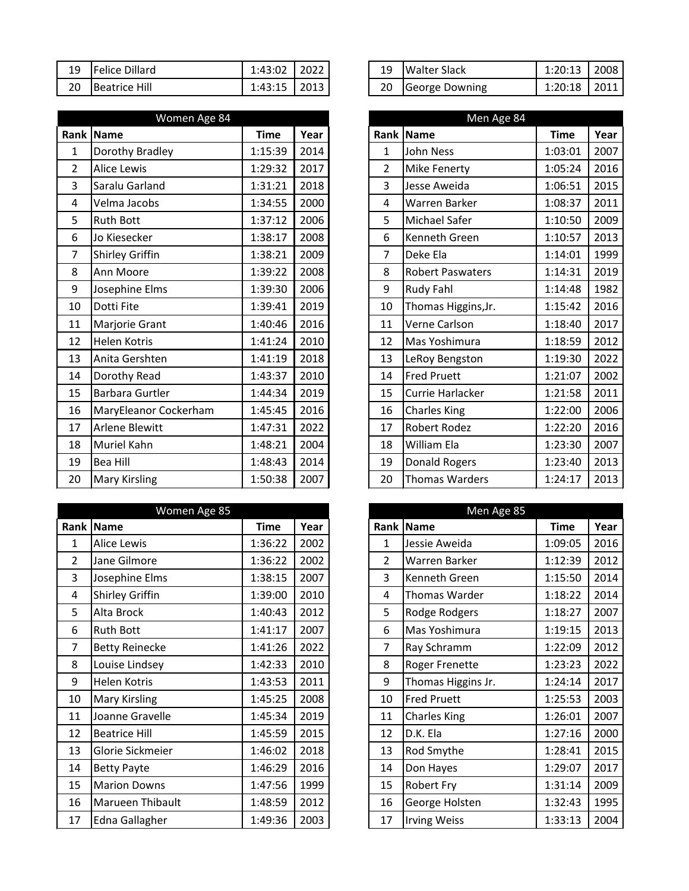| 19 | Felice Dillard | 1:43:02 | 2022 | 19 | <b>Walter Slack</b> | 1:20:13 | 2008 |
|----|----------------|---------|------|----|---------------------|---------|------|
| 20 | Beatrice Hill  | 1:43:15 | 2013 | 20 | George Downing      | 1:20:18 | 2011 |

|                | Women Age 84           |             |      |                | Men Age 84              |             |      |
|----------------|------------------------|-------------|------|----------------|-------------------------|-------------|------|
|                | Rank Name              | <b>Time</b> | Year |                | Rank Name               | <b>Time</b> | Year |
| $\mathbf 1$    | Dorothy Bradley        | 1:15:39     | 2014 | $\mathbf{1}$   | <b>John Ness</b>        | 1:03:01     | 2007 |
| $\overline{2}$ | <b>Alice Lewis</b>     | 1:29:32     | 2017 | $\overline{2}$ | <b>Mike Fenerty</b>     | 1:05:24     | 2016 |
| 3              | Saralu Garland         | 1:31:21     | 2018 | 3              | Jesse Aweida            | 1:06:51     | 2015 |
| 4              | Velma Jacobs           | 1:34:55     | 2000 | 4              | Warren Barker           | 1:08:37     | 2011 |
| 5              | <b>Ruth Bott</b>       | 1:37:12     | 2006 | 5              | Michael Safer           | 1:10:50     | 2009 |
| 6              | Jo Kiesecker           | 1:38:17     | 2008 | 6              | Kenneth Green           | 1:10:57     | 2013 |
| 7              | Shirley Griffin        | 1:38:21     | 2009 | $\overline{7}$ | Deke Ela                | 1:14:01     | 1999 |
| 8              | Ann Moore              | 1:39:22     | 2008 | 8              | <b>Robert Paswaters</b> | 1:14:31     | 2019 |
| 9              | Josephine Elms         | 1:39:30     | 2006 | 9              | Rudy Fahl               | 1:14:48     | 1982 |
| 10             | Dotti Fite             | 1:39:41     | 2019 | 10             | Thomas Higgins, Jr.     | 1:15:42     | 2016 |
| 11             | Marjorie Grant         | 1:40:46     | 2016 | 11             | Verne Carlson           | 1:18:40     | 2017 |
| 12             | Helen Kotris           | 1:41:24     | 2010 | 12             | Mas Yoshimura           | 1:18:59     | 2012 |
| 13             | Anita Gershten         | 1:41:19     | 2018 | 13             | LeRoy Bengston          | 1:19:30     | 2022 |
| 14             | Dorothy Read           | 1:43:37     | 2010 | 14             | <b>Fred Pruett</b>      | 1:21:07     | 2002 |
| 15             | <b>Barbara Gurtler</b> | 1:44:34     | 2019 | 15             | Currie Harlacker        | 1:21:58     | 2011 |
| 16             | MaryEleanor Cockerham  | 1:45:45     | 2016 | 16             | <b>Charles King</b>     | 1:22:00     | 2006 |
| 17             | <b>Arlene Blewitt</b>  | 1:47:31     | 2022 | 17             | <b>Robert Rodez</b>     | 1:22:20     | 2016 |
| 18             | Muriel Kahn            | 1:48:21     | 2004 | 18             | William Ela             | 1:23:30     | 2007 |
| 19             | <b>Bea Hill</b>        | 1:48:43     | 2014 | 19             | Donald Rogers           | 1:23:40     | 2013 |
| 20             | <b>Mary Kirsling</b>   | 1:50:38     | 2007 | 20             | <b>Thomas Warders</b>   | 1:24:17     | 2013 |

|    | Women Age 85           |             |      |
|----|------------------------|-------------|------|
|    | <b>Rank Name</b>       | <b>Time</b> | Year |
| 1  | <b>Alice Lewis</b>     | 1:36:22     | 2002 |
| 2  | Jane Gilmore           | 1:36:22     | 2002 |
| 3  | Josephine Elms         | 1:38:15     | 2007 |
| 4  | <b>Shirley Griffin</b> | 1:39:00     | 2010 |
| 5  | Alta Brock             | 1:40:43     | 2012 |
| 6  | <b>Ruth Bott</b>       | 1:41:17     | 2007 |
| 7  | <b>Betty Reinecke</b>  | 1:41:26     | 2022 |
| 8  | Louise Lindsey         | 1:42:33     | 2010 |
| 9  | Helen Kotris           | 1:43:53     | 2011 |
| 10 | <b>Mary Kirsling</b>   | 1:45:25     | 2008 |
| 11 | Joanne Gravelle        | 1:45:34     | 2019 |
| 12 | <b>Beatrice Hill</b>   | 1:45:59     | 2015 |
| 13 | Glorie Sickmeier       | 1:46:02     | 2018 |
| 14 | <b>Betty Payte</b>     | 1:46:29     | 2016 |
| 15 | <b>Marion Downs</b>    | 1:47:56     | 1999 |
| 16 | Marueen Thibault       | 1:48:59     | 2012 |
| 17 | Edna Gallagher         | 1:49:36     | 2003 |

|    | 19 Walter Slack | $1:20:13$   2008 |  |
|----|-----------------|------------------|--|
| 20 | George Downing  | $1:20:18$   2011 |  |

| Rank I         | <b>Name</b>             | <b>Time</b> | Year |
|----------------|-------------------------|-------------|------|
| $\overline{1}$ | <b>John Ness</b>        | 1:03:01     | 2007 |
| $\overline{2}$ | Mike Fenerty            | 1:05:24     | 2016 |
| 3              | Jesse Aweida            | 1:06:51     | 2015 |
| 4              | Warren Barker           | 1:08:37     | 2011 |
| 5              | Michael Safer           | 1:10:50     | 2009 |
| 6              | Kenneth Green           | 1:10:57     | 2013 |
| 7              | Deke Ela                | 1:14:01     | 1999 |
| 8              | <b>Robert Paswaters</b> | 1:14:31     | 2019 |
| 9              | <b>Rudy Fahl</b>        | 1:14:48     | 1982 |
| 10             | Thomas Higgins, Jr.     | 1:15:42     | 2016 |
| 11             | Verne Carlson           | 1:18:40     | 2017 |
| 12             | Mas Yoshimura           | 1:18:59     | 2012 |
| 13             | LeRoy Bengston          | 1:19:30     | 2022 |
| 14             | <b>Fred Pruett</b>      | 1:21:07     | 2002 |
| 15             | Currie Harlacker        | 1:21:58     | 2011 |
| 16             | <b>Charles King</b>     | 1:22:00     | 2006 |
| 17             | Robert Rodez            | 1:22:20     | 2016 |
| 18             | <b>William Ela</b>      | 1:23:30     | 2007 |
| 19             | Donald Rogers           | 1:23:40     | 2013 |
| 20             | <b>Thomas Warders</b>   | 1:24:17     | 2013 |

|                | Men Age 85          |             |      |
|----------------|---------------------|-------------|------|
| Rank           | <b>Name</b>         | <b>Time</b> | Year |
| 1              | Jessie Aweida       | 1:09:05     | 2016 |
| $\overline{2}$ | Warren Barker       | 1:12:39     | 2012 |
| 3              | Kenneth Green       | 1:15:50     | 2014 |
| 4              | Thomas Warder       | 1:18:22     | 2014 |
| 5              | Rodge Rodgers       | 1:18:27     | 2007 |
| 6              | Mas Yoshimura       | 1:19:15     | 2013 |
| 7              | Ray Schramm         | 1:22:09     | 2012 |
| 8              | Roger Frenette      | 1:23:23     | 2022 |
| 9              | Thomas Higgins Jr.  | 1:24:14     | 2017 |
| 10             | <b>Fred Pruett</b>  | 1:25:53     | 2003 |
| 11             | <b>Charles King</b> | 1:26:01     | 2007 |
| 12             | D.K. Ela            | 1:27:16     | 2000 |
| 13             | Rod Smythe          | 1:28:41     | 2015 |
| 14             | Don Hayes           | 1:29:07     | 2017 |
| 15             | Robert Fry          | 1:31:14     | 2009 |
| 16             | George Holsten      | 1:32:43     | 1995 |
| 17             | <b>Irving Weiss</b> | 1:33:13     | 2004 |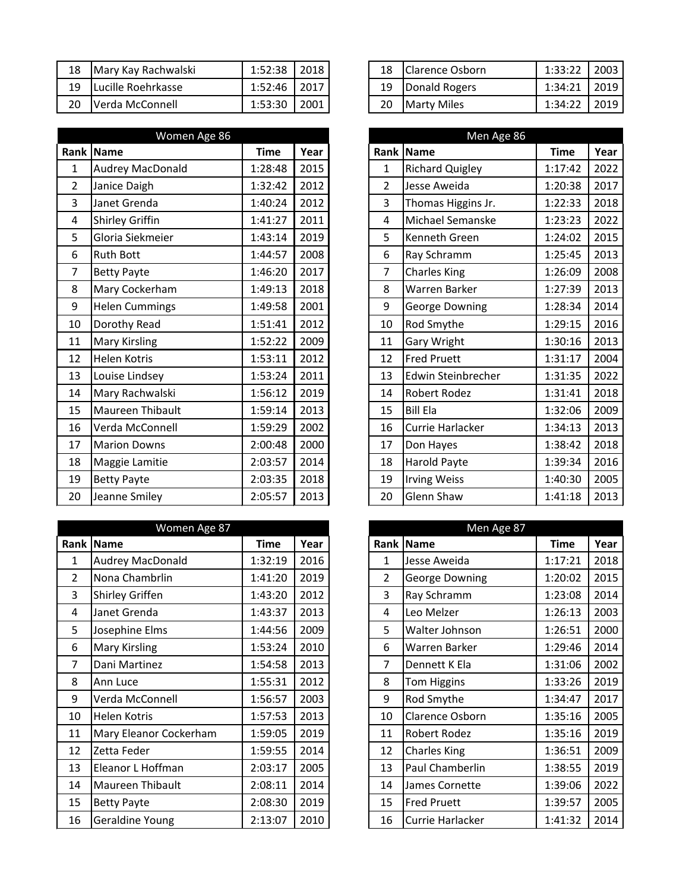| 18 | Mary Kay Rachwalski | 1:52:38 | 2018 | 18 | <b>Clarence Osborn</b> | 1:33:22 | 2003 |
|----|---------------------|---------|------|----|------------------------|---------|------|
| 19 | Lucille Roehrkasse  | 1:52:46 | 2017 | 19 | Donald Rogers          | 1:34:21 | 2019 |
| 20 | Verda McConnell     | 1:53:30 | 2001 | 20 | Marty Miles            | 1:34:22 | 2019 |

|                         | Women Age 86            |             |      |                | Men Age 86             |             |      |
|-------------------------|-------------------------|-------------|------|----------------|------------------------|-------------|------|
|                         | Rank   Name             | <b>Time</b> | Year |                | Rank Name              | <b>Time</b> | Year |
| $\mathbf{1}$            | <b>Audrey MacDonald</b> | 1:28:48     | 2015 | 1              | <b>Richard Quigley</b> | 1:17:42     | 2022 |
| $\overline{2}$          | Janice Daigh            | 1:32:42     | 2012 | $\overline{2}$ | Jesse Aweida           | 1:20:38     | 2017 |
| 3                       | Janet Grenda            | 1:40:24     | 2012 | 3              | Thomas Higgins Jr.     | 1:22:33     | 2018 |
| $\overline{\mathbf{4}}$ | Shirley Griffin         | 1:41:27     | 2011 | 4              | Michael Semanske       | 1:23:23     | 2022 |
| 5                       | Gloria Siekmeier        | 1:43:14     | 2019 | 5              | Kenneth Green          | 1:24:02     | 2015 |
| 6                       | <b>Ruth Bott</b>        | 1:44:57     | 2008 | 6              | Ray Schramm            | 1:25:45     | 2013 |
| 7                       | <b>Betty Payte</b>      | 1:46:20     | 2017 | $\overline{7}$ | <b>Charles King</b>    | 1:26:09     | 2008 |
| 8                       | Mary Cockerham          | 1:49:13     | 2018 | 8              | Warren Barker          | 1:27:39     | 2013 |
| 9                       | <b>Helen Cummings</b>   | 1:49:58     | 2001 | 9              | George Downing         | 1:28:34     | 2014 |
| 10                      | Dorothy Read            | 1:51:41     | 2012 | 10             | Rod Smythe             | 1:29:15     | 2016 |
| 11                      | Mary Kirsling           | 1:52:22     | 2009 | 11             | Gary Wright            | 1:30:16     | 2013 |
| 12                      | Helen Kotris            | 1:53:11     | 2012 | 12             | <b>Fred Pruett</b>     | 1:31:17     | 2004 |
| 13                      | Louise Lindsey          | 1:53:24     | 2011 | 13             | Edwin Steinbrecher     | 1:31:35     | 2022 |
| 14                      | Mary Rachwalski         | 1:56:12     | 2019 | 14             | <b>Robert Rodez</b>    | 1:31:41     | 2018 |
| 15                      | Maureen Thibault        | 1:59:14     | 2013 | 15             | <b>Bill Ela</b>        | 1:32:06     | 2009 |
| 16                      | Verda McConnell         | 1:59:29     | 2002 | 16             | Currie Harlacker       | 1:34:13     | 2013 |
| 17                      | <b>Marion Downs</b>     | 2:00:48     | 2000 | 17             | Don Hayes              | 1:38:42     | 2018 |
| 18                      | Maggie Lamitie          | 2:03:57     | 2014 | 18             | Harold Payte           | 1:39:34     | 2016 |
| 19                      | <b>Betty Payte</b>      | 2:03:35     | 2018 | 19             | <b>Irving Weiss</b>    | 1:40:30     | 2005 |
| 20                      | Jeanne Smiley           | 2:05:57     | 2013 | 20             | Glenn Shaw             | 1:41:18     | 2013 |

|           | Women Age 87            |             |      |
|-----------|-------------------------|-------------|------|
| Rank Name |                         | <b>Time</b> | Year |
| 1         | <b>Audrey MacDonald</b> | 1:32:19     | 2016 |
| 2         | Nona Chambrlin          | 1:41:20     | 2019 |
| 3         | <b>Shirley Griffen</b>  | 1:43:20     | 2012 |
| 4         | Janet Grenda            | 1:43:37     | 2013 |
| 5         | Josephine Elms          | 1:44:56     | 2009 |
| 6         | <b>Mary Kirsling</b>    | 1:53:24     | 2010 |
| 7         | Dani Martinez           | 1:54:58     | 2013 |
| 8         | Ann Luce                | 1:55:31     | 2012 |
| 9         | Verda McConnell         | 1:56:57     | 2003 |
| 10        | <b>Helen Kotris</b>     | 1:57:53     | 2013 |
| 11        | Mary Eleanor Cockerham  | 1:59:05     | 2019 |
| 12        | Zetta Feder             | 1:59:55     | 2014 |
| 13        | Eleanor L Hoffman       | 2:03:17     | 2005 |
| 14        | Maureen Thibault        | 2:08:11     | 2014 |
| 15        | <b>Betty Payte</b>      | 2:08:30     | 2019 |
| 16        | Geraldine Young         | 2:13:07     | 2010 |

| 18 | Clarence Osborn    | $1:33:22$   2003 |  |
|----|--------------------|------------------|--|
| 19 | Donald Rogers      | $1:34:21$   2019 |  |
| 20 | <b>Marty Miles</b> | $1:34:22$   2019 |  |

|                | Men Age 86              |             |      |
|----------------|-------------------------|-------------|------|
| Rank           | <b>Name</b>             | <b>Time</b> | Year |
| $\mathbf{1}$   | <b>Richard Quigley</b>  | 1:17:42     | 2022 |
| $\overline{2}$ | Jesse Aweida            | 1:20:38     | 2017 |
| 3              | Thomas Higgins Jr.      | 1:22:33     | 2018 |
| 4              | <b>Michael Semanske</b> | 1:23:23     | 2022 |
| 5              | Kenneth Green           | 1:24:02     | 2015 |
| 6              | Ray Schramm             | 1:25:45     | 2013 |
| $\overline{7}$ | <b>Charles King</b>     | 1:26:09     | 2008 |
| 8              | Warren Barker           | 1:27:39     | 2013 |
| 9              | <b>George Downing</b>   | 1:28:34     | 2014 |
| 10             | Rod Smythe              | 1:29:15     | 2016 |
| 11             | Gary Wright             | 1:30:16     | 2013 |
| 12             | <b>Fred Pruett</b>      | 1:31:17     | 2004 |
| 13             | Edwin Steinbrecher      | 1:31:35     | 2022 |
| 14             | <b>Robert Rodez</b>     | 1:31:41     | 2018 |
| 15             | <b>Bill Ela</b>         | 1:32:06     | 2009 |
| 16             | Currie Harlacker        | 1:34:13     | 2013 |
| 17             | Don Hayes               | 1:38:42     | 2018 |
| 18             | Harold Payte            | 1:39:34     | 2016 |
| 19             | <b>Irving Weiss</b>     | 1:40:30     | 2005 |
| 20             | Glenn Shaw              | 1:41:18     | 2013 |

|                | Men Age 87             |             |      |
|----------------|------------------------|-------------|------|
| Rank           | <b>Name</b>            | <b>Time</b> | Year |
| 1              | Jesse Aweida           | 1:17:21     | 2018 |
| $\overline{2}$ | <b>George Downing</b>  | 1:20:02     | 2015 |
| 3              | Ray Schramm            | 1:23:08     | 2014 |
| 4              | Leo Melzer             | 1:26:13     | 2003 |
| 5              | Walter Johnson         | 1:26:51     | 2000 |
| 6              | Warren Barker          | 1:29:46     | 2014 |
| 7              | Dennett K Ela          | 1:31:06     | 2002 |
| 8              | <b>Tom Higgins</b>     | 1:33:26     | 2019 |
| 9              | Rod Smythe             | 1:34:47     | 2017 |
| 10             | <b>Clarence Osborn</b> | 1:35:16     | 2005 |
| 11             | Robert Rodez           | 1:35:16     | 2019 |
| 12             | <b>Charles King</b>    | 1:36:51     | 2009 |
| 13             | <b>Paul Chamberlin</b> | 1:38:55     | 2019 |
| 14             | James Cornette         | 1:39:06     | 2022 |
| 15             | <b>Fred Pruett</b>     | 1:39:57     | 2005 |
| 16             | Currie Harlacker       | 1:41:32     | 2014 |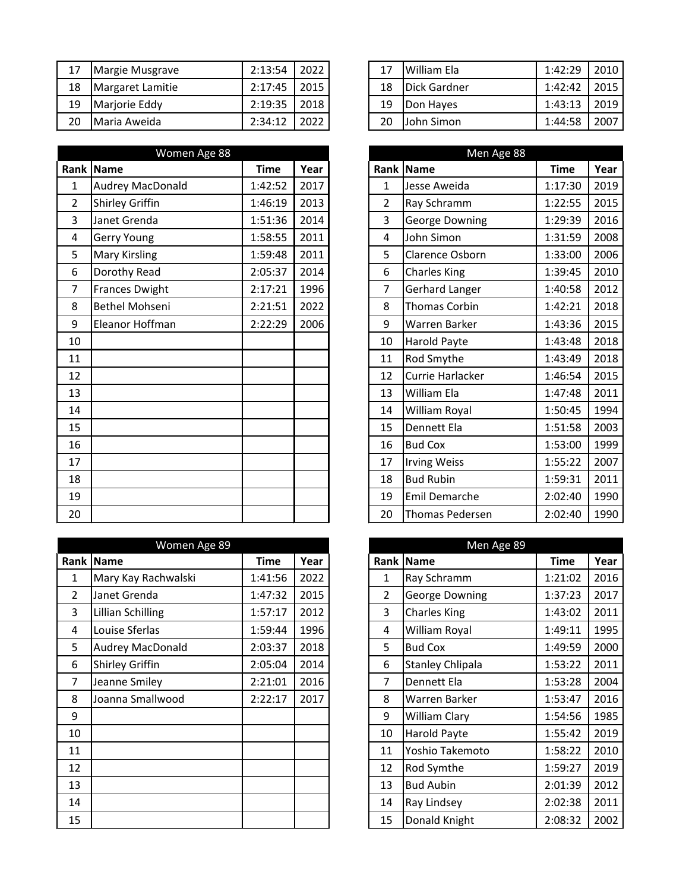| 17 | Margie Musgrave  | 2:13:54 | 2022 | 17 | William Ela  | 1:42:29 | 2010 |
|----|------------------|---------|------|----|--------------|---------|------|
| 18 | Margaret Lamitie | 2:17:45 | 2015 | 18 | Dick Gardner | 1:42:42 | 2015 |
| 19 | Marjorie Eddy    | 2:19:35 | 2018 | 19 | Don Hayes    | 1:43:13 | 2019 |
| 20 | Maria Aweida     | 2:34:12 | 2022 | 20 | John Simon   | 1:44:58 | 2007 |

|                         | Women Age 88            |             |      |
|-------------------------|-------------------------|-------------|------|
|                         | Rank Name               | <b>Time</b> | Year |
|                         | <b>Audrey MacDonald</b> | 1:42:52     | 2017 |
|                         | Shirley Griffin         | 1:46:19     | 2013 |
| 3                       | Janet Grenda            | 1:51:36     | 2014 |
| $\overline{\mathbf{4}}$ | Gerry Young             | 1:58:55     | 2011 |
| 5                       | Mary Kirsling           | 1:59:48     | 2011 |
| 6                       | Dorothy Read            | 2:05:37     | 2014 |
| 7                       | <b>Frances Dwight</b>   | 2:17:21     | 1996 |
| 8                       | <b>Bethel Mohseni</b>   | 2:21:51     | 2022 |
| 9                       | Eleanor Hoffman         | 2:22:29     | 2006 |
| 10                      |                         |             |      |
| 11                      |                         |             |      |
| 12                      |                         |             |      |
| 13                      |                         |             |      |
| 14                      |                         |             |      |
| 15                      |                         |             |      |
| 16                      |                         |             |      |
| 17                      |                         |             |      |
| 18                      |                         |             |      |
| 19                      |                         |             |      |
| 20                      |                         |             |      |

|                | Women Age 89            |         |      |                | Men Age 89              |             |  |
|----------------|-------------------------|---------|------|----------------|-------------------------|-------------|--|
| Rank           | Name                    | Time    | Year |                | Rank Name               | <b>Time</b> |  |
| 1              | Mary Kay Rachwalski     | 1:41:56 | 2022 | 1              | Ray Schramm             | 1:21:02     |  |
| $\overline{2}$ | Janet Grenda            | 1:47:32 | 2015 | $\overline{2}$ | George Downing          | 1:37:23     |  |
| 3              | Lillian Schilling       | 1:57:17 | 2012 | 3              | <b>Charles King</b>     | 1:43:02     |  |
| 4              | Louise Sferlas          | 1:59:44 | 1996 | 4              | William Royal           | 1:49:11     |  |
| 5              | <b>Audrey MacDonald</b> | 2:03:37 | 2018 | 5              | <b>Bud Cox</b>          | 1:49:59     |  |
| 6              | <b>Shirley Griffin</b>  | 2:05:04 | 2014 | 6              | <b>Stanley Chlipala</b> | 1:53:22     |  |
| 7              | Jeanne Smiley           | 2:21:01 | 2016 | 7              | Dennett Ela             | 1:53:28     |  |
| 8              | Joanna Smallwood        | 2:22:17 | 2017 | 8              | Warren Barker           | 1:53:47     |  |
| 9              |                         |         |      | 9              | William Clary           | 1:54:56     |  |
| 10             |                         |         |      | 10             | <b>Harold Payte</b>     | 1:55:42     |  |
| 11             |                         |         |      | 11             | Yoshio Takemoto         | 1:58:22     |  |
| 12             |                         |         |      | 12             | Rod Symthe              | 1:59:27     |  |
| 13             |                         |         |      | 13             | <b>Bud Aubin</b>        | 2:01:39     |  |
| 14             |                         |         |      | 14             | Ray Lindsey             | 2:02:38     |  |
| 15             |                         |         |      | 15             | Donald Knight           | 2:08:32     |  |

|    | 17 William Ela          | $1:42:29$   2010 |  |
|----|-------------------------|------------------|--|
|    | 18 <b>IDick Gardner</b> | $1:42:42$   2015 |  |
| 19 | Don Hayes               | $1:43:13$   2019 |  |
| 20 | John Simon              | 1:44:58 2007     |  |

|                  | Women Age 88            |             |      |                | Men Age 88            |             |      |
|------------------|-------------------------|-------------|------|----------------|-----------------------|-------------|------|
|                  | ank  Name               | <b>Time</b> | Year |                | Rank Name             | <b>Time</b> | Year |
| $\mathbf{1}$     | <b>Audrey MacDonald</b> | 1:42:52     | 2017 | $\mathbf{1}$   | Jesse Aweida          | 1:17:30     | 2019 |
| $\overline{2}$   | <b>Shirley Griffin</b>  | 1:46:19     | 2013 | $\overline{2}$ | Ray Schramm           | 1:22:55     | 2015 |
| $\overline{3}$   | Janet Grenda            | 1:51:36     | 2014 | $\overline{3}$ | George Downing        | 1:29:39     | 2016 |
| $\overline{4}$   | <b>Gerry Young</b>      | 1:58:55     | 2011 | 4              | John Simon            | 1:31:59     | 2008 |
| 5                | <b>Mary Kirsling</b>    | 1:59:48     | 2011 | 5              | Clarence Osborn       | 1:33:00     | 2006 |
| $\boldsymbol{6}$ | Dorothy Read            | 2:05:37     | 2014 | 6              | <b>Charles King</b>   | 1:39:45     | 2010 |
| $\overline{7}$   | <b>Frances Dwight</b>   | 2:17:21     | 1996 | $\overline{7}$ | <b>Gerhard Langer</b> | 1:40:58     | 2012 |
| 8                | <b>Bethel Mohseni</b>   | 2:21:51     | 2022 | 8              | <b>Thomas Corbin</b>  | 1:42:21     | 2018 |
| $\boldsymbol{9}$ | Eleanor Hoffman         | 2:22:29     | 2006 | 9              | Warren Barker         | 1:43:36     | 2015 |
| 10               |                         |             |      | 10             | Harold Payte          | 1:43:48     | 2018 |
| 11               |                         |             |      | 11             | Rod Smythe            | 1:43:49     | 2018 |
| 12               |                         |             |      | 12             | Currie Harlacker      | 1:46:54     | 2015 |
| 13               |                         |             |      | 13             | William Ela           | 1:47:48     | 2011 |
| 14               |                         |             |      | 14             | William Royal         | 1:50:45     | 1994 |
| 15               |                         |             |      | 15             | Dennett Ela           | 1:51:58     | 2003 |
| 16               |                         |             |      | 16             | <b>Bud Cox</b>        | 1:53:00     | 1999 |
| 17               |                         |             |      | 17             | <b>Irving Weiss</b>   | 1:55:22     | 2007 |
| 18               |                         |             |      | 18             | <b>Bud Rubin</b>      | 1:59:31     | 2011 |
| 19               |                         |             |      | 19             | <b>Emil Demarche</b>  | 2:02:40     | 1990 |
| 20               |                         |             |      | 20             | Thomas Pedersen       | 2:02:40     | 1990 |

|                | Men Age 89              |             |      |
|----------------|-------------------------|-------------|------|
| Rank           | <b>Name</b>             | <b>Time</b> | Year |
| 1              | Ray Schramm             | 1:21:02     | 2016 |
| $\overline{2}$ | <b>George Downing</b>   | 1:37:23     | 2017 |
| 3              | <b>Charles King</b>     | 1:43:02     | 2011 |
| 4              | William Royal           | 1:49:11     | 1995 |
| 5              | <b>Bud Cox</b>          | 1:49:59     | 2000 |
| 6              | <b>Stanley Chlipala</b> | 1:53:22     | 2011 |
| 7              | Dennett Ela             | 1:53:28     | 2004 |
| 8              | Warren Barker           | 1:53:47     | 2016 |
| 9              | William Clary           | 1:54:56     | 1985 |
| 10             | Harold Payte            | 1:55:42     | 2019 |
| 11             | Yoshio Takemoto         | 1:58:22     | 2010 |
| 12             | Rod Symthe              | 1:59:27     | 2019 |
| 13             | <b>Bud Aubin</b>        | 2:01:39     | 2012 |
| 14             | Ray Lindsey             | 2:02:38     | 2011 |
| 15             | Donald Knight           | 2:08:32     | 2002 |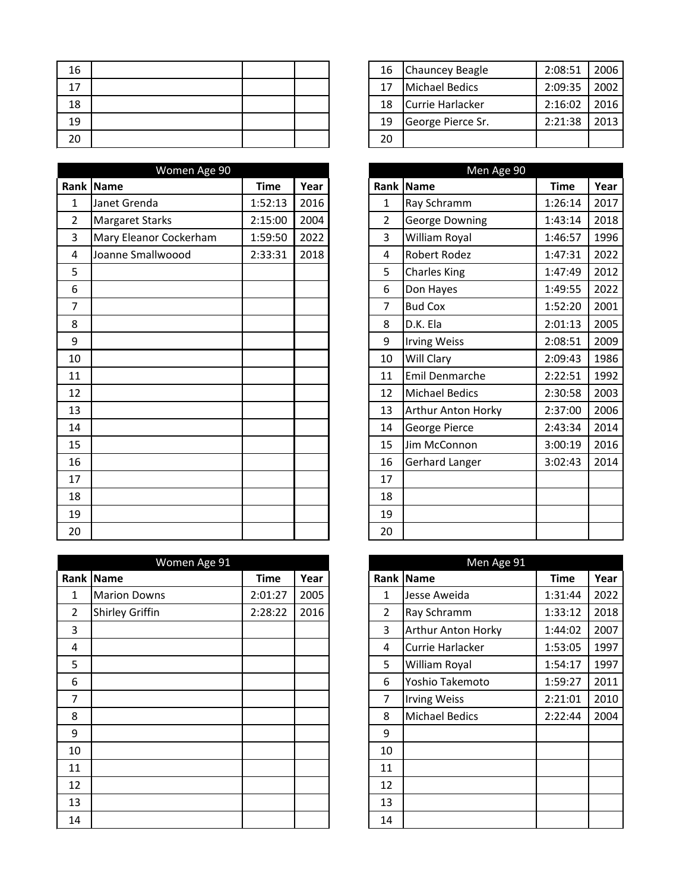| 16 |  |  | 16 | Chauncey Beagle   | 2:08:51 | 2006 |
|----|--|--|----|-------------------|---------|------|
| 17 |  |  | 17 | Michael Bedics    | 2:09:35 | 2002 |
| 18 |  |  | 18 | Currie Harlacker  | 2:16:02 | 2016 |
| 19 |  |  | 19 | George Pierce Sr. | 2:21:38 | 2013 |
| 20 |  |  | 20 |                   |         |      |

|                | Women Age 90           |             |      |                | Men Age 90                |             |  |
|----------------|------------------------|-------------|------|----------------|---------------------------|-------------|--|
|                | Rank Name              | <b>Time</b> | Year |                | Rank Name                 | <b>Time</b> |  |
| $\mathbf{1}$   | Janet Grenda           | 1:52:13     | 2016 | $\mathbf{1}$   | Ray Schramm               | 1:26:14     |  |
| $\overline{2}$ | <b>Margaret Starks</b> | 2:15:00     | 2004 | $\overline{2}$ | George Downing            | 1:43:14     |  |
| 3              | Mary Eleanor Cockerham | 1:59:50     | 2022 | 3              | William Royal             | 1:46:57     |  |
| $\overline{4}$ | Joanne Smallwoood      | 2:33:31     | 2018 | 4              | <b>Robert Rodez</b>       | 1:47:31     |  |
| 5              |                        |             |      | 5              | Charles King              | 1:47:49     |  |
| 6              |                        |             |      | 6              | Don Hayes                 | 1:49:55     |  |
| 7              |                        |             |      | $\overline{7}$ | <b>Bud Cox</b>            | 1:52:20     |  |
| 8              |                        |             |      | 8              | D.K. Ela                  | 2:01:13     |  |
| 9              |                        |             |      | 9              | <b>Irving Weiss</b>       | 2:08:51     |  |
| 10             |                        |             |      | 10             | Will Clary                | 2:09:43     |  |
| 11             |                        |             |      | 11             | Emil Denmarche            | 2:22:51     |  |
| 12             |                        |             |      | 12             | <b>Michael Bedics</b>     | 2:30:58     |  |
| 13             |                        |             |      | 13             | <b>Arthur Anton Horky</b> | 2:37:00     |  |
| 14             |                        |             |      | 14             | George Pierce             | 2:43:34     |  |
| 15             |                        |             |      | 15             | Jim McConnon              | 3:00:19     |  |
| 16             |                        |             |      | 16             | <b>Gerhard Langer</b>     | 3:02:43     |  |
| 17             |                        |             |      | 17             |                           |             |  |
| 18             |                        |             |      | 18             |                           |             |  |
| 19             |                        |             |      | 19             |                           |             |  |
| 20             |                        |             |      | 20             |                           |             |  |

|                | Women Age 91           |             |      |                | Men Age 91                |             |      |
|----------------|------------------------|-------------|------|----------------|---------------------------|-------------|------|
|                | Rank Name              | <b>Time</b> | Year |                | Rank Name                 | <b>Time</b> | Year |
| 1              | <b>Marion Downs</b>    | 2:01:27     | 2005 | $\mathbf{1}$   | Jesse Aweida              | 1:31:44     | 2022 |
| $\overline{2}$ | <b>Shirley Griffin</b> | 2:28:22     | 2016 | $\overline{2}$ | Ray Schramm               | 1:33:12     | 2018 |
| 3              |                        |             |      | 3              | <b>Arthur Anton Horky</b> | 1:44:02     | 2007 |
| 4              |                        |             |      | 4              | Currie Harlacker          | 1:53:05     | 1997 |
| 5              |                        |             |      | 5              | William Royal             | 1:54:17     | 1997 |
| 6              |                        |             |      | 6              | Yoshio Takemoto           | 1:59:27     | 2011 |
| 7              |                        |             |      | 7              | <b>Irving Weiss</b>       | 2:21:01     | 2010 |
| 8              |                        |             |      | 8              | <b>Michael Bedics</b>     | 2:22:44     | 2004 |
| 9              |                        |             |      | 9              |                           |             |      |
| 10             |                        |             |      | 10             |                           |             |      |
| 11             |                        |             |      | 11             |                           |             |      |
| 12             |                        |             |      | 12             |                           |             |      |
| 13             |                        |             |      | 13             |                           |             |      |
| 14             |                        |             |      | 14             |                           |             |      |

| 16 | Chauncey Beagle   | 2:08:51 | 2006 |
|----|-------------------|---------|------|
| 17 | Michael Bedics    | 2:09:35 | 2002 |
| 18 | Currie Harlacker  | 2:16:02 | 2016 |
| 19 | George Pierce Sr. | 2:21:38 | 2013 |
| 20 |                   |         |      |

|                | Men Age 90                |             |      |  |  |  |  |  |  |  |
|----------------|---------------------------|-------------|------|--|--|--|--|--|--|--|
| Rank           | <b>Name</b>               | <b>Time</b> | Year |  |  |  |  |  |  |  |
| 1              | Ray Schramm               | 1:26:14     | 2017 |  |  |  |  |  |  |  |
| $\overline{2}$ | <b>George Downing</b>     | 1:43:14     | 2018 |  |  |  |  |  |  |  |
| 3              | William Royal             | 1:46:57     | 1996 |  |  |  |  |  |  |  |
| 4              | <b>Robert Rodez</b>       | 1:47:31     | 2022 |  |  |  |  |  |  |  |
| 5              | <b>Charles King</b>       | 1:47:49     | 2012 |  |  |  |  |  |  |  |
| 6              | Don Hayes                 | 1:49:55     | 2022 |  |  |  |  |  |  |  |
| 7              | <b>Bud Cox</b>            | 1:52:20     | 2001 |  |  |  |  |  |  |  |
| 8              | D.K. Ela                  | 2:01:13     | 2005 |  |  |  |  |  |  |  |
| 9              | <b>Irving Weiss</b>       | 2:08:51     | 2009 |  |  |  |  |  |  |  |
| 10             | Will Clary                | 2:09:43     | 1986 |  |  |  |  |  |  |  |
| 11             | <b>Emil Denmarche</b>     | 2:22:51     | 1992 |  |  |  |  |  |  |  |
| 12             | <b>Michael Bedics</b>     | 2:30:58     | 2003 |  |  |  |  |  |  |  |
| 13             | <b>Arthur Anton Horky</b> | 2:37:00     | 2006 |  |  |  |  |  |  |  |
| 14             | George Pierce             | 2:43:34     | 2014 |  |  |  |  |  |  |  |
| 15             | Jim McConnon              | 3:00:19     | 2016 |  |  |  |  |  |  |  |
| 16             | Gerhard Langer            | 3:02:43     | 2014 |  |  |  |  |  |  |  |
| 17             |                           |             |      |  |  |  |  |  |  |  |
| 18             |                           |             |      |  |  |  |  |  |  |  |
| 19             |                           |             |      |  |  |  |  |  |  |  |
| 20             |                           |             |      |  |  |  |  |  |  |  |

|                | Men Age 91                |         |      |  |  |  |  |  |  |
|----------------|---------------------------|---------|------|--|--|--|--|--|--|
| Rank           | <b>Name</b>               | Time    | Year |  |  |  |  |  |  |
| 1              | Jesse Aweida              | 1:31:44 | 2022 |  |  |  |  |  |  |
| $\overline{2}$ | Ray Schramm               | 1:33:12 | 2018 |  |  |  |  |  |  |
| 3              | <b>Arthur Anton Horky</b> | 1:44:02 | 2007 |  |  |  |  |  |  |
| 4              | Currie Harlacker          | 1:53:05 | 1997 |  |  |  |  |  |  |
| 5              | William Royal             | 1:54:17 | 1997 |  |  |  |  |  |  |
| 6              | Yoshio Takemoto           | 1:59:27 | 2011 |  |  |  |  |  |  |
| 7              | <b>Irving Weiss</b>       | 2:21:01 | 2010 |  |  |  |  |  |  |
| 8              | <b>Michael Bedics</b>     | 2:22:44 | 2004 |  |  |  |  |  |  |
| 9              |                           |         |      |  |  |  |  |  |  |
| 10             |                           |         |      |  |  |  |  |  |  |
| 11             |                           |         |      |  |  |  |  |  |  |
| 12             |                           |         |      |  |  |  |  |  |  |
| 13             |                           |         |      |  |  |  |  |  |  |
| 14             |                           |         |      |  |  |  |  |  |  |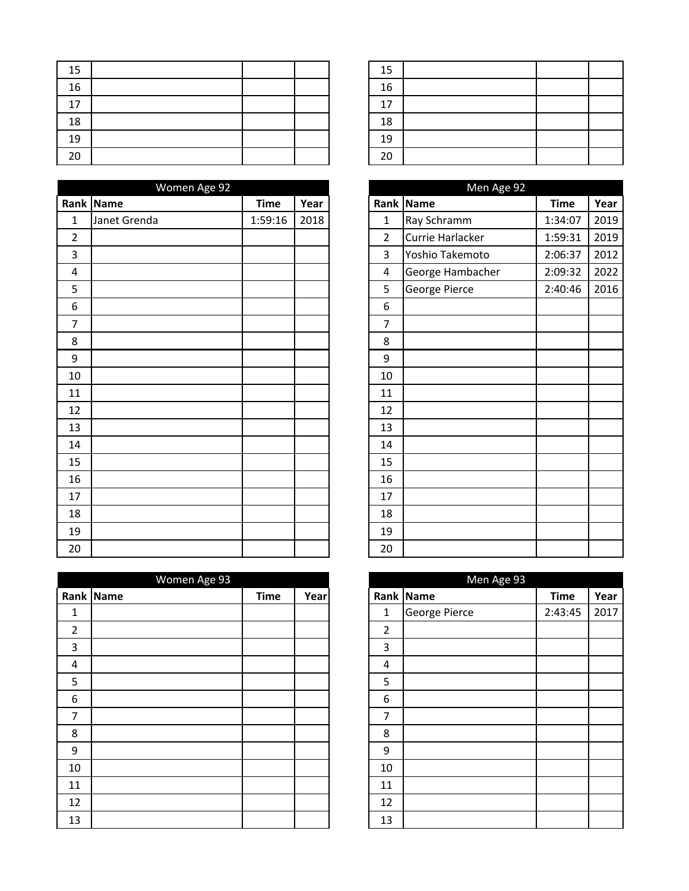| 15 |  |  | 15 |
|----|--|--|----|
| 16 |  |  | 16 |
| 17 |  |  | 17 |
| 18 |  |  | 18 |
| 19 |  |  | 19 |
| 20 |  |  | 20 |

|                  | Women Age 92 |             |      |                |                  |             |      |
|------------------|--------------|-------------|------|----------------|------------------|-------------|------|
|                  | Rank Name    | <b>Time</b> | Year |                | Rank Name        | <b>Time</b> | Year |
| $\mathbf 1$      | Janet Grenda | 1:59:16     | 2018 | $\mathbf{1}$   | Ray Schramm      | 1:34:07     | 2019 |
| $\overline{2}$   |              |             |      | $\overline{2}$ | Currie Harlacker | 1:59:31     | 2019 |
| 3                |              |             |      | 3              | Yoshio Takemoto  | 2:06:37     | 2012 |
| $\overline{4}$   |              |             |      | $\overline{4}$ | George Hambacher | 2:09:32     | 2022 |
| 5                |              |             |      | 5              | George Pierce    | 2:40:46     | 2016 |
| $\boldsymbol{6}$ |              |             |      | 6              |                  |             |      |
| $\overline{7}$   |              |             |      | $\overline{7}$ |                  |             |      |
| 8                |              |             |      | 8              |                  |             |      |
| $9\,$            |              |             |      | 9              |                  |             |      |
| 10               |              |             |      | 10             |                  |             |      |
| 11               |              |             |      | 11             |                  |             |      |
| 12               |              |             |      | 12             |                  |             |      |
| 13               |              |             |      | 13             |                  |             |      |
| 14               |              |             |      | 14             |                  |             |      |
| 15               |              |             |      | 15             |                  |             |      |
| 16               |              |             |      | 16             |                  |             |      |
| 17               |              |             |      | 17             |                  |             |      |
| 18               |              |             |      | 18             |                  |             |      |
| 19               |              |             |      | 19             |                  |             |      |
| 20               |              |             |      | 20             |                  |             |      |

|                | Women Age 93 |             |      |                | Men Age 93    |             |      |
|----------------|--------------|-------------|------|----------------|---------------|-------------|------|
|                | Rank Name    | <b>Time</b> | Year |                | Rank Name     | <b>Time</b> | Year |
| $\mathbf 1$    |              |             |      | $\mathbf 1$    | George Pierce | 2:43:45     | 2017 |
| $\overline{2}$ |              |             |      | $\overline{2}$ |               |             |      |
| 3              |              |             |      | 3              |               |             |      |
| 4              |              |             |      | 4              |               |             |      |
| 5              |              |             |      | 5              |               |             |      |
| 6              |              |             |      | 6              |               |             |      |
| 7              |              |             |      | 7              |               |             |      |
| 8              |              |             |      | 8              |               |             |      |
| 9              |              |             |      | 9              |               |             |      |
| 10             |              |             |      | 10             |               |             |      |
| 11             |              |             |      | 11             |               |             |      |
| 12             |              |             |      | 12             |               |             |      |
| 13             |              |             |      | 13             |               |             |      |

| 15 |  |  |
|----|--|--|
| 16 |  |  |
| 17 |  |  |
| 18 |  |  |
| 19 |  |  |
| 20 |  |  |

|                | Men Age 92       |             |      |
|----------------|------------------|-------------|------|
| Rank           | <b>Name</b>      | <b>Time</b> | Year |
| $\mathbf{1}$   | Ray Schramm      | 1:34:07     | 2019 |
| $\overline{2}$ | Currie Harlacker | 1:59:31     | 2019 |
| 3              | Yoshio Takemoto  | 2:06:37     | 2012 |
| 4              | George Hambacher | 2:09:32     | 2022 |
| 5              | George Pierce    | 2:40:46     | 2016 |
| 6              |                  |             |      |
| 7              |                  |             |      |
| 8              |                  |             |      |
| 9              |                  |             |      |
| 10             |                  |             |      |
| 11             |                  |             |      |
| 12             |                  |             |      |
| 13             |                  |             |      |
| 14             |                  |             |      |
| 15             |                  |             |      |
| 16             |                  |             |      |
| 17             |                  |             |      |
| 18             |                  |             |      |
| 19             |                  |             |      |
| 20             |                  |             |      |

|                | Men Age 93    |             |      |
|----------------|---------------|-------------|------|
| Rank           | <b>Name</b>   | <b>Time</b> | Year |
| 1              | George Pierce | 2:43:45     | 2017 |
| $\overline{2}$ |               |             |      |
| $\mathbf{3}$   |               |             |      |
| 4              |               |             |      |
| 5              |               |             |      |
| 6              |               |             |      |
| 7              |               |             |      |
| 8              |               |             |      |
| 9              |               |             |      |
| 10             |               |             |      |
| 11             |               |             |      |
| 12             |               |             |      |
| 13             |               |             |      |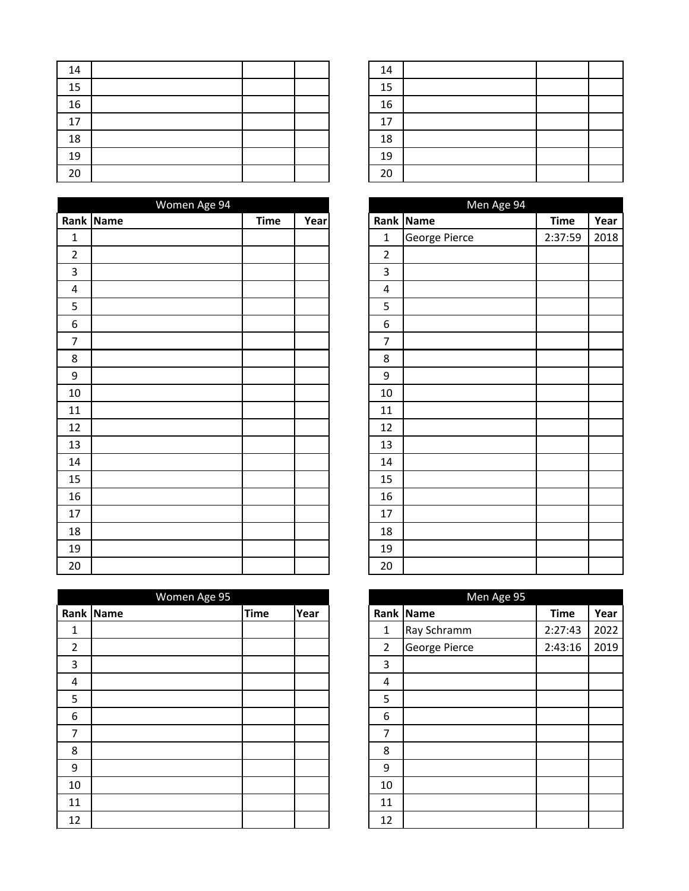| 14 |  |  | 14 |
|----|--|--|----|
| 15 |  |  | 15 |
| 16 |  |  | 16 |
| 17 |  |  | 17 |
| 18 |  |  | 18 |
| 19 |  |  | 19 |
| 20 |  |  | 20 |

|                  | Women Age 94 |             |      |                         | Men Age 94    |             |      |
|------------------|--------------|-------------|------|-------------------------|---------------|-------------|------|
|                  | Rank Name    | <b>Time</b> | Year |                         | Rank Name     | <b>Time</b> | Year |
| $\mathbf 1$      |              |             |      | $\mathbf{1}$            | George Pierce | 2:37:59     | 2018 |
| $\overline{2}$   |              |             |      | $\overline{2}$          |               |             |      |
| 3                |              |             |      | 3                       |               |             |      |
| $\overline{4}$   |              |             |      | $\overline{\mathbf{4}}$ |               |             |      |
| $\overline{5}$   |              |             |      | 5                       |               |             |      |
| $\boldsymbol{6}$ |              |             |      | 6                       |               |             |      |
| $\overline{7}$   |              |             |      | $\overline{7}$          |               |             |      |
| 8                |              |             |      | 8                       |               |             |      |
| $\boldsymbol{9}$ |              |             |      | $\boldsymbol{9}$        |               |             |      |
| 10               |              |             |      | 10                      |               |             |      |
| 11               |              |             |      | 11                      |               |             |      |
| 12               |              |             |      | 12                      |               |             |      |
| 13               |              |             |      | 13                      |               |             |      |
| 14               |              |             |      | 14                      |               |             |      |
| 15               |              |             |      | 15                      |               |             |      |
| 16               |              |             |      | 16                      |               |             |      |
| 17               |              |             |      | 17                      |               |             |      |
| 18               |              |             |      | 18                      |               |             |      |
| 19               |              |             |      | 19                      |               |             |      |
| $20\,$           |              |             |      | 20                      |               |             |      |

|                         | Women Age 95 |             |      |                | Men Age 95    |             |      |
|-------------------------|--------------|-------------|------|----------------|---------------|-------------|------|
|                         | Rank Name    | <b>Time</b> | Year |                | Rank Name     | <b>Time</b> | Year |
| 1                       |              |             |      | 1              | Ray Schramm   | 2:27:43     | 2022 |
| $\overline{2}$          |              |             |      | $\overline{2}$ | George Pierce | 2:43:16     | 2019 |
| 3                       |              |             |      | 3              |               |             |      |
| $\overline{\mathbf{4}}$ |              |             |      | 4              |               |             |      |
| 5                       |              |             |      | 5              |               |             |      |
| $6\,$                   |              |             |      | 6              |               |             |      |
| 7                       |              |             |      | 7              |               |             |      |
| 8                       |              |             |      | 8              |               |             |      |
| 9                       |              |             |      | 9              |               |             |      |
| 10                      |              |             |      | 10             |               |             |      |
| 11                      |              |             |      | 11             |               |             |      |
| 12                      |              |             |      | 12             |               |             |      |

| 14 |  |  |
|----|--|--|
| 15 |  |  |
| 16 |  |  |
| 17 |  |  |
| 18 |  |  |
| 19 |  |  |
| 20 |  |  |

|                         | Men Age 94    |             |      |  |  |  |  |  |  |
|-------------------------|---------------|-------------|------|--|--|--|--|--|--|
|                         | Rank Name     | <b>Time</b> | Year |  |  |  |  |  |  |
| $\mathbf 1$             | George Pierce | 2:37:59     | 2018 |  |  |  |  |  |  |
| $\overline{2}$          |               |             |      |  |  |  |  |  |  |
| 3                       |               |             |      |  |  |  |  |  |  |
| $\overline{\mathbf{4}}$ |               |             |      |  |  |  |  |  |  |
| 5                       |               |             |      |  |  |  |  |  |  |
| 6                       |               |             |      |  |  |  |  |  |  |
| 7                       |               |             |      |  |  |  |  |  |  |
| 8                       |               |             |      |  |  |  |  |  |  |
| 9                       |               |             |      |  |  |  |  |  |  |
| 10                      |               |             |      |  |  |  |  |  |  |
| 11                      |               |             |      |  |  |  |  |  |  |
| 12                      |               |             |      |  |  |  |  |  |  |
| 13                      |               |             |      |  |  |  |  |  |  |
| 14                      |               |             |      |  |  |  |  |  |  |
| 15                      |               |             |      |  |  |  |  |  |  |
| 16                      |               |             |      |  |  |  |  |  |  |
| 17                      |               |             |      |  |  |  |  |  |  |
| 18                      |               |             |      |  |  |  |  |  |  |
| 19                      |               |             |      |  |  |  |  |  |  |
| 20                      |               |             |      |  |  |  |  |  |  |

|                | Men Age 95    |             |      |
|----------------|---------------|-------------|------|
| Rank           | <b>Name</b>   | <b>Time</b> | Year |
| 1              | Ray Schramm   | 2:27:43     | 2022 |
| $\overline{2}$ | George Pierce | 2:43:16     | 2019 |
| 3              |               |             |      |
| 4              |               |             |      |
| 5              |               |             |      |
| 6              |               |             |      |
| 7              |               |             |      |
| 8              |               |             |      |
| 9              |               |             |      |
| 10             |               |             |      |
| 11             |               |             |      |
| 12             |               |             |      |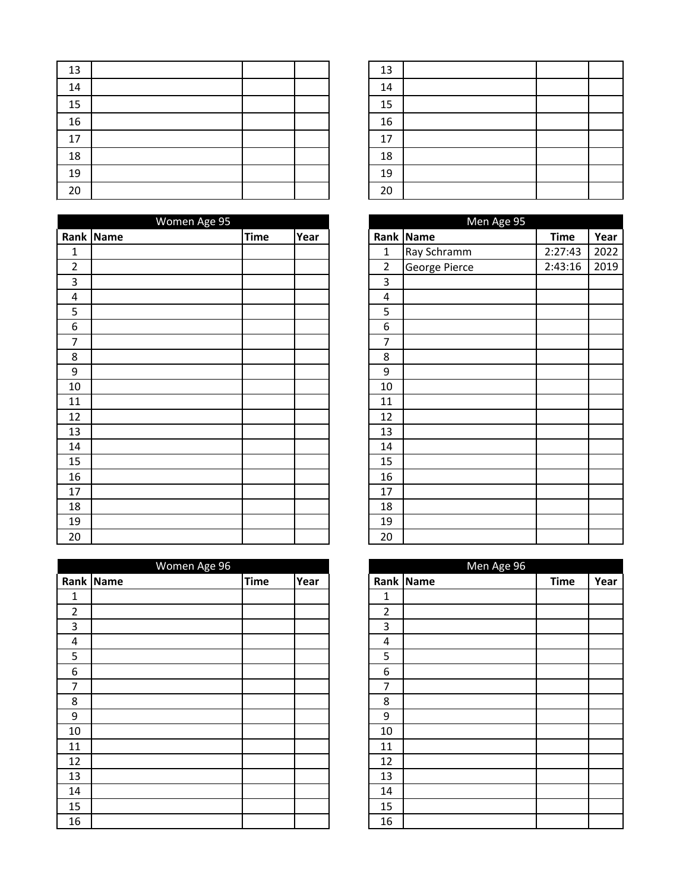| 13 |  |  | 13 |
|----|--|--|----|
| 14 |  |  | 14 |
| 15 |  |  | 15 |
| 16 |  |  | 16 |
| 17 |  |  | 17 |
| 18 |  |  | 18 |
| 19 |  |  | 19 |
| 20 |  |  | 20 |

|                         | Women Age 95 |             |      |                | Men Age 95    |             |      |
|-------------------------|--------------|-------------|------|----------------|---------------|-------------|------|
|                         | Rank Name    | <b>Time</b> | Year |                | Rank Name     | <b>Time</b> | Year |
| $\mathbf{1}$            |              |             |      | $\mathbf{1}$   | Ray Schramm   | 2:27:43     | 2022 |
| $\overline{2}$          |              |             |      | $\overline{2}$ | George Pierce | 2:43:16     | 2019 |
| 3                       |              |             |      | 3              |               |             |      |
| $\overline{\mathbf{4}}$ |              |             |      | $\overline{4}$ |               |             |      |
| 5                       |              |             |      | 5              |               |             |      |
| 6                       |              |             |      | 6              |               |             |      |
| 7                       |              |             |      | 7              |               |             |      |
| 8                       |              |             |      | 8              |               |             |      |
| $\boldsymbol{9}$        |              |             |      | 9              |               |             |      |
| 10                      |              |             |      | 10             |               |             |      |
| 11                      |              |             |      | 11             |               |             |      |
| 12                      |              |             |      | 12             |               |             |      |
| 13                      |              |             |      | 13             |               |             |      |
| 14                      |              |             |      | 14             |               |             |      |
| 15                      |              |             |      | 15             |               |             |      |
| 16                      |              |             |      | 16             |               |             |      |
| 17                      |              |             |      | 17             |               |             |      |
| 18                      |              |             |      | 18             |               |             |      |
| 19                      |              |             |      | 19             |               |             |      |
| 20                      |              |             |      | 20             |               |             |      |

| Women Age 96 |             |      |                | Men Age 96 |             |      |
|--------------|-------------|------|----------------|------------|-------------|------|
|              | <b>Time</b> | Year |                |            | <b>Time</b> | Year |
|              |             |      | $\mathbf 1$    |            |             |      |
|              |             |      | $\overline{2}$ |            |             |      |
|              |             |      | 3              |            |             |      |
|              |             |      | 4              |            |             |      |
|              |             |      | 5              |            |             |      |
|              |             |      | 6              |            |             |      |
|              |             |      | 7              |            |             |      |
|              |             |      | 8              |            |             |      |
|              |             |      | 9              |            |             |      |
|              |             |      | 10             |            |             |      |
|              |             |      | 11             |            |             |      |
|              |             |      | 12             |            |             |      |
|              |             |      | 13             |            |             |      |
|              |             |      | 14             |            |             |      |
|              |             |      | 15             |            |             |      |
|              |             |      | 16             |            |             |      |
|              | Rank Name   |      |                |            | Rank Name   |      |

| 13 |  |  |
|----|--|--|
| 14 |  |  |
| 15 |  |  |
| 16 |  |  |
| 17 |  |  |
| 18 |  |  |
| 19 |  |  |
| 20 |  |  |

| Men Age 95     |               |             |      |  |  |  |  |
|----------------|---------------|-------------|------|--|--|--|--|
| Rank           | <b>Name</b>   | <b>Time</b> | Year |  |  |  |  |
| 1              | Ray Schramm   | 2:27:43     | 2022 |  |  |  |  |
| $\overline{2}$ | George Pierce | 2:43:16     | 2019 |  |  |  |  |
| 3              |               |             |      |  |  |  |  |
| 4              |               |             |      |  |  |  |  |
| 5              |               |             |      |  |  |  |  |
| 6              |               |             |      |  |  |  |  |
| 7              |               |             |      |  |  |  |  |
| 8              |               |             |      |  |  |  |  |
| 9              |               |             |      |  |  |  |  |
| 10             |               |             |      |  |  |  |  |
| 11             |               |             |      |  |  |  |  |
| 12             |               |             |      |  |  |  |  |
| 13             |               |             |      |  |  |  |  |
| 14             |               |             |      |  |  |  |  |
| 15             |               |             |      |  |  |  |  |
| 16             |               |             |      |  |  |  |  |
| 17             |               |             |      |  |  |  |  |
| 18             |               |             |      |  |  |  |  |
| 19             |               |             |      |  |  |  |  |
| 20             |               |             |      |  |  |  |  |

|                | Men Age 96 |             |      |
|----------------|------------|-------------|------|
|                | Rank Name  | <b>Time</b> | Year |
| 1              |            |             |      |
| $\overline{2}$ |            |             |      |
| $\mathbf{3}$   |            |             |      |
| 4              |            |             |      |
| 5              |            |             |      |
| 6              |            |             |      |
| 7              |            |             |      |
| 8              |            |             |      |
| 9              |            |             |      |
| 10             |            |             |      |
| 11             |            |             |      |
| 12             |            |             |      |
| 13             |            |             |      |
| 14             |            |             |      |
| 15             |            |             |      |
| 16             |            |             |      |